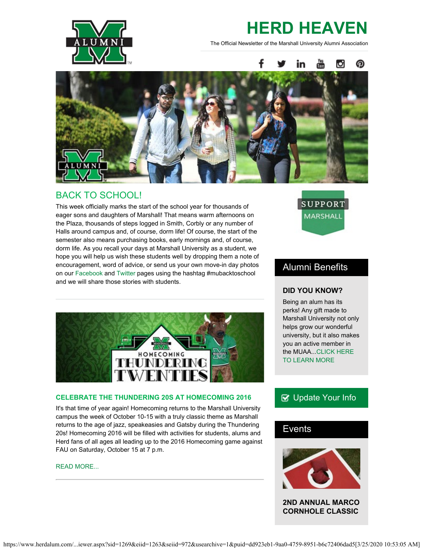

# **HERD HEAVEN**

The Official Newsletter of the Marshall University Alumni Association



### BACK TO SCHOOL!

This week officially marks the start of the school year for thousands of eager sons and daughters of Marshall! That means warm afternoons on the Plaza, thousands of steps logged in Smith, Corbly or any number of Halls around campus and, of course, dorm life! Of course, the start of the semester also means purchasing books, early mornings and, of course, dorm life. As you recall your days at Marshall University as a student, we hope you will help us wish these students well by dropping them a note of encouragement, word of advice, or send us your own move-in day photos on our [Facebook](https://www.facebook.com/mualumni) and [Twitter](https://twitter.com/HerdAlumni) pages using the hashtag #mubacktoschool and we will share those stories with students.



#### **CELEBRATE THE THUNDERING 20S AT HOMECOMING 2016**

It's that time of year again! Homecoming returns to the Marshall University campus the week of October 10-15 with a truly classic theme as Marshall returns to the age of jazz, speakeasies and Gatsby during the Thundering 20s! Homecoming 2016 will be filled with activities for students, alums and Herd fans of all ages all leading up to the 2016 Homecoming game against FAU on Saturday, October 15 at 7 p.m.

#### [READ MORE...](http://www.herdalum.com/s/1269/index.aspx?sid=1269&gid=1&pgid=949)



### Alumni Benefits

#### **DID YOU KNOW?**

Being an alum has its perks! Any gift made to Marshall University not only helps grow our wonderful university, but it also makes you an active member in the MUAA..[.CLICK HERE](http://www.herdalum.com/s/1269/index.aspx?sid=1269&gid=1&pgid=799) [TO LEARN MORE](http://www.herdalum.com/s/1269/index.aspx?sid=1269&gid=1&pgid=799)

### **B** [Update Your Info](http://www.herdalum.com/s/1269/index.aspx?sid=1269&gid=1&pgid=6&cid=41#/Search/Simple)

### Events



**2ND ANNUAL MARCO CORNHOLE CLASSIC**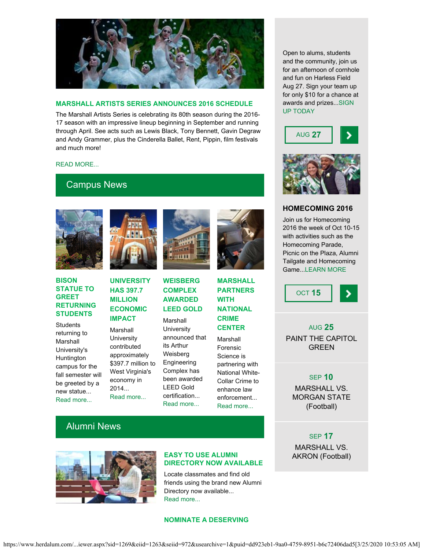

#### **MARSHALL ARTISTS SERIES ANNOUNCES 2016 SCHEDULE**

The Marshall Artists Series is celebrating its 80th season during the 2016- 17 season with an impressive lineup beginning in September and running through April. See acts such as Lewis Black, Tony Bennett, Gavin Degraw and Andy Grammer, plus the Cinderella Ballet, Rent, Pippin, film festivals and much more!

#### [READ MORE...](http://www.marshall.edu/muartistseries)

### Campus News



#### **BISON STATUE TO GREET RETURNING STUDENTS**

**Students** returning to Marshall University's Huntington campus for the fall semester will be greeted by a new statue... [Read more...](http://www.marshall.edu/ucomm/2016/08/12/buffalo-statue-greet-returning-students/)



### **UNIVERSITY HAS 397.7 MILLION ECONOMIC IMPACT**

Marshall **University** contributed approximately \$397.7 million to West Virginia's economy in 2014... [Read more...](https://www.marshall.edu/ucomm/2016/08/04/marshall-university-397-7-million-economic-impact/)



### **WEISBERG COMPLEX AWARDED LEED GOLD**

Marshall **University** announced that its Arthur Weisberg Engineering Complex has been awarded LEED Gold certification... [Read more...](https://www.marshall.edu/ucomm/2016/08/10/weisberg-complex-awarded-leed-gold-level-certification/)

#### **MARSHALL PARTNERS WITH NATIONAL CRIME CENTER**

Marshall Forensic Science is partnering with National White-Collar Crime to enhance law enforcement... [Read more...](https://www.marshall.edu/ucomm/2016/08/02/marshall-partners-national-white-collar-crime-center/)

and the community, join us for an afternoon of cornhole and fun on Harless Field Aug 27. Sign your team up for only \$10 for a chance at awards and prizes..[.SIGN](http://www.herdalum.com/s/1269/index.aspx?sid=1269&gid=1&pgid=881) [UP TODAY](http://www.herdalum.com/s/1269/index.aspx?sid=1269&gid=1&pgid=881)

Open to alums, students





#### **HOMECOMING 2016**

Join us for Homecoming 2016 the week of Oct 10-15 with activities such as the Homecoming Parade, Picnic on the Plaza, Alumni Tailgate and Homecoming Game..[.LEARN MORE](http://www.herdalum.com/s/1269/index.aspx?sid=1269&gid=1&pgid=949)



#### AUG **25**

PAINT THE CAPITOL GREEN

#### SEP **10**

MARSHALL VS. MORGAN STATE (Football)

#### SEP **17**

MARSHALL VS. AKRON (Football)

### Alumni News



#### **EASY TO USE ALUMNI DIRECTORY NOW AVAILABLE**

Locate classmates and find old friends using the brand new Alumni Directory now available... [Read more...](http://www.herdalum.com/s/1269/index.aspx?sid=1269&gid=1&pgid=6&cid=41#/Search/Simple)

#### **NOMINATE A DESERVING**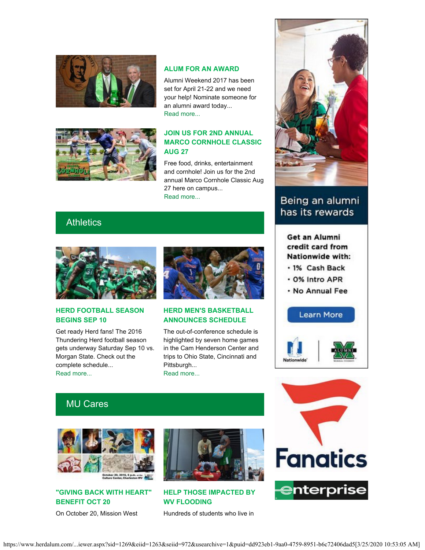



#### **ALUM FOR AN AWARD**

Alumni Weekend 2017 has been set for April 21-22 and we need your help! Nominate someone for an alumni award today... [Read more...](http://www.herdalum.com/s/1269/index.aspx?sid=1269&gid=1&pgid=1006)

#### **JOIN US FOR 2ND ANNUAL MARCO CORNHOLE CLASSIC AUG 27**

Free food, drinks, entertainment and cornhole! Join us for the 2nd annual Marco Cornhole Classic Aug 27 here on campus... [Read more...](http://www.herdalum.com/s/1269/index.aspx?sid=1269&gid=1&pgid=881)

### **Athletics**



#### **HERD FOOTBALL SEASON BEGINS SEP 10**

Get ready Herd fans! The 2016 Thundering Herd football season gets underway Saturday Sep 10 vs. Morgan State. Check out the complete schedule... [Read more...](http://www.herdzone.com/sports/m-footbl/sched/mars-m-footbl-sched.html)



#### **HERD MEN'S BASKETBALL ANNOUNCES SCHEDULE**

The out-of-conference schedule is highlighted by seven home games in the Cam Henderson Center and trips to Ohio State, Cincinnati and Pittsburgh... [Read more...](http://www.herdzone.com/sports/m-baskbl/spec-rel/081216aaa.html)



## Being an alumni has its rewards

### Get an Alumni credit card from Nationwide with:

- · 1% Cash Back
- . 0% Intro APR
- . No Annual Fee





## MU Cares



### **"GIVING BACK WITH HEART" BENEFIT OCT 20**

On October 20, Mission West



**HELP THOSE IMPACTED BY WV FLOODING**

Hundreds of students who live in